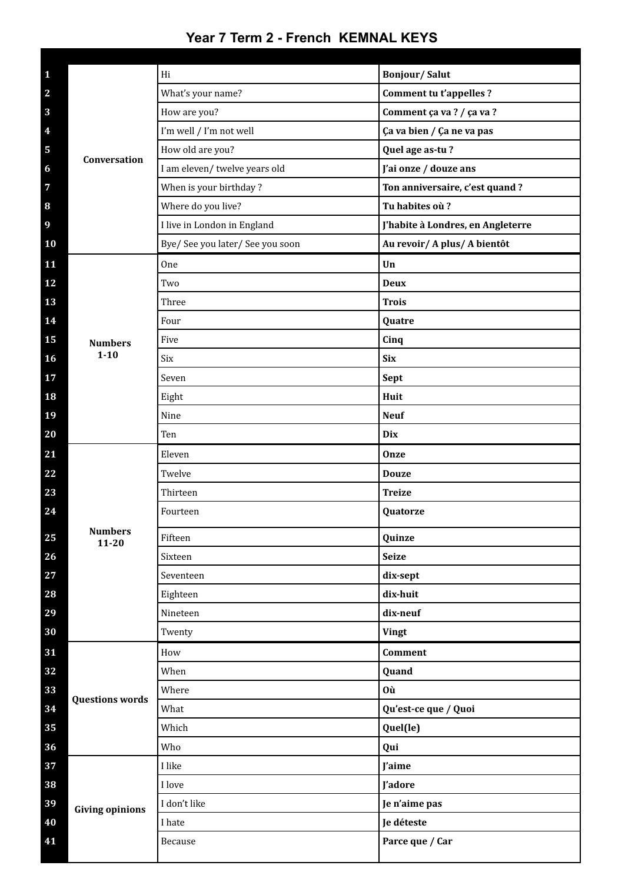## **Year 7 Term 2 - French KEMNAL KEYS**

| $\mathbf{1}$            | Conversation                | Hi                               | <b>Bonjour/Salut</b>              |
|-------------------------|-----------------------------|----------------------------------|-----------------------------------|
| $\overline{\mathbf{2}}$ |                             | What's your name?                | Comment tu t'appelles ?           |
| $\overline{\mathbf{3}}$ |                             | How are you?                     | Comment ça va ? / ça va ?         |
| $\overline{4}$          |                             | I'm well / I'm not well          | Ça va bien / Ça ne va pas         |
| 5                       |                             | How old are you?                 | Quel age as-tu?                   |
| $\boldsymbol{6}$        |                             | I am eleven/ twelve years old    | J'ai onze / douze ans             |
| $\overline{7}$          |                             | When is your birthday?           | Ton anniversaire, c'est quand ?   |
| $\bf{8}$                |                             | Where do you live?               | Tu habites où?                    |
| $\boldsymbol{9}$        |                             | I live in London in England      | J'habite à Londres, en Angleterre |
| 10                      |                             | Bye/ See you later/ See you soon | Au revoir/ A plus/ A bientôt      |
| 11                      |                             | 0ne                              | Un                                |
| 12                      |                             | Two                              | <b>Deux</b>                       |
| 13                      |                             | Three                            | <b>Trois</b>                      |
| 14                      |                             | Four                             | Quatre                            |
| 15                      | <b>Numbers</b>              | Five                             | Cinq                              |
| 16                      | $1 - 10$                    | Six                              | <b>Six</b>                        |
| 17                      |                             | Seven                            | Sept                              |
| 18                      |                             | Eight                            | Huit                              |
| 19                      |                             | Nine                             | <b>Neuf</b>                       |
| 20                      |                             | Ten                              | Dix                               |
| 21                      |                             | Eleven                           | Onze                              |
| 22                      |                             | Twelve                           | <b>Douze</b>                      |
| 23                      |                             | Thirteen                         | <b>Treize</b>                     |
| 24                      |                             | Fourteen                         | Quatorze                          |
| 25                      | <b>Numbers</b><br>$11 - 20$ | Fifteen                          | Quinze                            |
| 26                      |                             | Sixteen                          | <b>Seize</b>                      |
| 27                      |                             | Seventeen                        | dix-sept                          |
| 28                      |                             | Eighteen                         | dix-huit                          |
| 29                      |                             | Nineteen                         | dix-neuf                          |
| 30                      |                             | Twenty                           | Vingt                             |
| 31                      |                             | How                              | <b>Comment</b>                    |
| 32                      |                             | When                             | Quand                             |
| 33                      | <b>Questions words</b>      | Where                            | <b>Où</b>                         |
| 34                      |                             | What                             | Qu'est-ce que / Quoi              |
| 35                      |                             | Which                            | Quel(le)                          |
| 36                      |                             | Who                              | Qui                               |
| 37                      |                             | I like                           | J'aime                            |
| 38                      |                             | I love                           | J'adore                           |
| 39                      | <b>Giving opinions</b>      | I don't like                     | Je n'aime pas                     |
| 40                      |                             | I hate                           | Je déteste                        |
| 41                      |                             | Because                          | Parce que / Car                   |